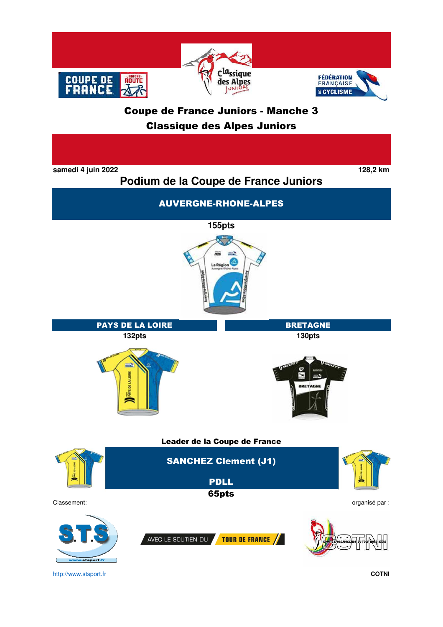





Leader de la Coupe de France

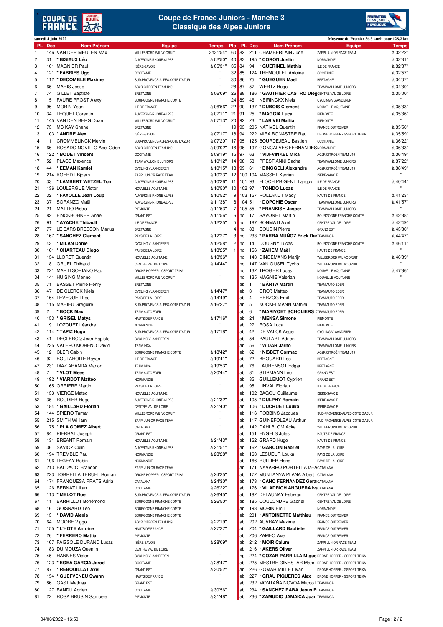



|                |     | samedi 4 juin 2022        |                                |                    |                |        |                |                                                        | Moyenne du Premier 36,3 km/h pour 128,2 km |              |
|----------------|-----|---------------------------|--------------------------------|--------------------|----------------|--------|----------------|--------------------------------------------------------|--------------------------------------------|--------------|
| PI.            | Dos | <b>Nom Prénom</b>         | Equipe                         | <b>Temps</b>       | <b>Pts</b>     |        | Pl. Dos        | <b>Nom Prénom</b>                                      | <b>Equipe</b>                              | <b>Temps</b> |
| 1              |     | 146 VAN DER MEULEN Max    | WILLEBRORD WIL VOORUIT         | 3h31'54"           | 60             | 82     |                | 211 CHAMBERLAIN Jude                                   | ZAPPI JUNIOR RACE TEAM                     | à 32'22'     |
| $\overline{2}$ | 31  | * BISIAUX Léo             | AUVERGNE-RHONE-ALPES           | à 02'50"           | 40             | 83     |                | 195 * CORON Justin                                     | <b>NORMANDIE</b>                           | à 32'31"     |
|                |     |                           |                                |                    |                |        |                |                                                        |                                            |              |
| 3              |     | 101 MAGNIER Paul          | ISÈRE-SAVOIE                   | à 05'31"           | 35             | 84     | 94             | * GUERINEL Mathis                                      | ILE DE FRANCE                              | à 32'37'     |
| 4              |     | 121 * FABRIES Ugo         | <b>OCCITANIE</b>               | $\mathbf{u}$       | 32             | 85     |                | 124 TREMOULET Antoine                                  | <b>OCCITANIE</b>                           | à 32'57"     |
| 5              |     | 112 * DECOMBLE Maxime     | SUD-PROVENCE-ALPES-COTE D'AZUR | $\mathbf{u}$       | 30             | 86     | 75             | * GUEGUEN Mael                                         | <b>BRETAGNE</b>                            | à 34'07'     |
| 6              | 65  | MARIS Jesse               | AG2R CITROËN TEAM U19          | Ĥ,                 | 28             | 87     |                | 57 WERTZ Hugo                                          | TEAM WALLONIE JUNIORS                      | à 34'30'     |
|                |     |                           |                                |                    |                |        |                |                                                        |                                            |              |
| 7              | 74  | <b>GILLET Baptiste</b>    | <b>BRETAGNE</b>                | à 06'09"           | 26             | 88     |                | 186 * GAUTHIER CASTRO Dieg CENTRE VAL DE LOIRE         |                                            | à 35'00'     |
| 8              | 15  | <b>FAURE PROST Alexy</b>  | BOURGOGNE FRANCHE COMTE        | Ħ                  | 24             | 89     | 46             | <b>NEIRINCKX Niels</b>                                 | <b>CYCLING VLAANDEREN</b>                  |              |
| 9              | 96  | MORIN Yoan                | ILE DE FRANCE                  | à 06'56"           | 22             | 90     |                | 137 * DUBOIS Clement                                   | NOUVELLE AQUITAINE                         | à 35'33      |
| 10             | 34  | <b>LEQUET Corentin</b>    | AUVERGNE-RHONE-ALPES           | à 07'11"           | 21             | 91     | 25             | * MAGGIA Luca                                          | <b>PIEMONTE</b>                            | à 35'36'     |
|                |     |                           |                                |                    |                |        |                |                                                        |                                            | $\mathbf{H}$ |
| 11             |     | 145 VAN DEN BERG Daan     | WILLEBRORD WIL VOORUIT         | à 07'13"           | 20             | 92     | 23             | * LARIVEI Mattia                                       | PIEMONTE                                   |              |
| 12             | 73  | MC KAY Shane              | <b>BRETAGNE</b>                |                    | 19             | 93     |                | 205 NATIVEL Quentin                                    | <b>FRANCE OUTRE MER</b>                    | à 35'50'     |
| 13             |     | 103 * ANDRE Alexi         | ISÈRE-SAVOIE                   | à 07'17"           | 18             | 94     |                | 222 MIRA BONASTRE Raul                                 | DRONE HOPPER - GSPORT TEIKA                | à 35'59'     |
| 14             |     | 111 CROMMELINCK Melvin    | SUD-PROVENCE-ALPES-COTE D'AZUR | à 07'20"           | 17             | 95     |                | 125 BOURDEJEAU Bastien                                 | <b>OCCITANIE</b>                           | à 36'22"     |
|                |     |                           |                                |                    |                | 96     |                |                                                        |                                            |              |
| 15             | 66  | ROSADO NOVILLO Abel Odon  | AG2R CITROËN TEAM U19          | à 09'02"           | 16             |        |                | 197 GONCALVES FERNANDES NORMANDIE                      |                                            | à 36'33'     |
| 16             |     | 122 * BODET Vincent       | <b>OCCITANIE</b>               | à 09'19"           | 15             | 97     | 63             | * VIJFVINKEL Mika                                      | AG2R CITROËN TEAM U19                      | à 36'49'     |
| 17             | 52  | <b>PLACE Maxence</b>      | TEAM WALLONIE JUNIORS          | à 10'12"           | 14             | 98     | 53             | PRESTIANNI Sacha                                       | TEAM WALLONIE JUNIORS                      | à 37'22"     |
| 18             |     | 44 * EEMAN Kamiel         | CYCLING VLAANDEREN             | à 10'15"           | 13             | 99     | 61             | * BINGGELI Alexandre                                   | AG2R CITROËN TEAM U19                      | à 38'49'     |
|                |     |                           |                                |                    |                |        |                |                                                        |                                            | $\mathbf{u}$ |
| 19             |     | 214 KOERDT Bjoern         | ZAPPI JUNIOR RACE TEAM         | à 10'23"           | 12             |        |                | 100 104 MASSET Kerrian                                 | ISÈRE-SAVOIE                               |              |
| 20             |     | 33 * LAMBERT WETZEL Tom   | AUVERGNE-RHONE-ALPES           | à 10'26"           | 11             | 101 93 |                | <b>FLOCH PRIGENT Tanguy</b>                            | ILE DE FRANCE                              | à 40'44'     |
| 21             |     | 136 LOULERGUE Victor      | NOUVELLE AQUITAINE             | à 10'50"           | 10             | 102 97 |                | * TONDO Lucas                                          | ILE DE FRANCE                              | $\mathbf{H}$ |
| 22             | 32  | * FAYOLLE Jean Loup       |                                | à 10'52"           | 9              |        |                | 103 157 ROLLANDT Mady                                  |                                            | à 41'23'     |
|                |     |                           | AUVERGNE-RHONE-ALPES           |                    |                |        |                |                                                        | HAUTS DE FRANCE                            |              |
| 23             | 37  | SORANZO Maël              | AUVERGNE-RHONE-ALPES           | à 11'38"           | 8              | 104 51 |                | * DOPCHIE Oscar                                        | TEAM WALLONIE JUNIORS                      | à 41'57"     |
| 24             | 21  | <b>MATTIO Pietro</b>      | <b>PIEMONTE</b>                | à 11'53"           | $\overline{7}$ | 105 55 |                | * FRANKISH Jasper                                      | TEAM WALLONIE JUNIORS                      | $\mathbf{H}$ |
| 25             | 82  | FINCKBOHNER Anaël         | <b>GRAND EST</b>               | à 11'56"           | 6              | hd     | 17             | <b>SAVONET Martin</b>                                  | BOURGOGNE FRANCHE COMTE                    | à 42'38"     |
|                |     |                           |                                |                    |                |        |                |                                                        |                                            |              |
| 26             | 91  | * AYACHE Thibault         | <b>ILE DE FRANCE</b>           | à 12'25"           | 5              | hd     |                | 187 BONMATI Axel                                       | CENTRE VAL DE LOIRE                        | à 42'49"     |
| 27             | 77  | LE BARS BRESSON Marius    | <b>BRETAGNE</b>                | u                  | 4              | hd     | 83             | <b>COUSIN Pierre</b>                                   | <b>GRAND EST</b>                           | à 43'30"     |
| 28             |     | 167 * SANCHEZ Clement     | PAYS DE LA LOIRE               | à 12'27"           | 3              | hd     |                | 233 * PARRA MUÑOZ Erick DaITEAM INCA                   |                                            | à 44'47"     |
|                |     |                           |                                |                    |                |        |                |                                                        |                                            |              |
| 29             | 43  | * MILAN Donie             | CYCLING VLAANDEREN             | à 12'58"           | $\overline{c}$ | hd     | 14             | <b>DOUGNY Lucas</b>                                    | BOURGOGNE FRANCHE COMTE                    | à 46'11"     |
| 30             |     | 161 * CHARTEAU Diego      | PAYS DE LA LOIRE               | à 13'25"           | $\mathbf{1}$   | hd     |                | 156 * ZAHEM Maël                                       | HAUTS DE FRANCE                            |              |
| 31             |     | 134 LLORET Quentin        | NOUVELLE AQUITAINE             | à 13'36"           |                | hd     |                | 143 DINGEMANS Marijn                                   | WILLEBRORD WIL VOORUIT                     | à 46'39'     |
| 32             |     | 181 GRUEL Thibaud         |                                | à 14'44"           |                | hd     |                |                                                        |                                            |              |
|                |     |                           | CENTRE VAL DE LOIRE            |                    |                |        |                | 147 VAN GIJSEL Tycho                                   | WILLEBRORD WIL VOORUIT                     |              |
| 33             |     | 221 MARTI SORIANO Pau     | DRONE HOPPER - GSPORT TEIKA    | u                  |                | hd     |                | 132 TROGER Lucas                                       | NOUVELLE AQUITAINE                         | à 47'36'     |
| 34             |     | 141 HUISING Menno         | WILLEBRORD WIL VOORUIT         | Ĥ,                 |                | hd     |                | 135 MAGNIE Valerian                                    | NOUVELLE AQUITAINE                         |              |
| 35             |     | 71 BASSET Pierre Henry    | <b>BRETAGNE</b>                | u                  |                | ab     | $\overline{1}$ | * BÁRTA Martin                                         | TEAM AUTO EDER                             |              |
|                |     |                           |                                |                    |                |        |                |                                                        |                                            |              |
| 36             |     | 47 DE CLERCK Niels        | CYCLING VLAANDEREN             | à 14'47"           |                | ab     | 3              | <b>GROß Matteo</b>                                     | TEAM AUTO EDER                             |              |
| 37             |     | 164 LEVEQUE Theo          | PAYS DE LA LOIRE               | à 14'49"           |                | ab     | $\overline{4}$ | <b>HERZOG Emil</b>                                     | TEAM AUTO EDER                             |              |
| 38             |     | 115 MAHIEU Gregoire       | SUD-PROVENCE-ALPES-COTE D'AZUR | à 16'27"           |                | ab     | 5              | <b>KOCKELMANN Mathieu</b>                              | TEAM AUTO EDER                             |              |
| 39             | 2   | * BOCK Max                | TEAM AUTO EDER                 |                    |                | ab     | 6              | * MARIVOET SCHOLIERS I TEAM AUTO EDER                  |                                            |              |
|                |     |                           |                                |                    |                |        |                |                                                        |                                            |              |
| 40             |     | 153 * GRISEL Matys        | HAUTS DE FRANCE                | à 17'16"           |                | ab     | 24             | * MENSA Simone                                         | PIEMONTE                                   |              |
| 41             |     | 191 LOZOUET Léandre       | NORMANDIE                      |                    |                | ab     | 27             | ROSA Luca                                              | <b>PIEMONTE</b>                            |              |
| 42             |     | 114 * TAPIZ Hugo          | SUD-PROVENCE-ALPES-COTE D'AZUR | à 17'18"           |                | ab     | 42             | DE VALCK Asger                                         | CYCLING VLAANDEREN                         |              |
|                |     |                           |                                |                    |                |        | 54             |                                                        |                                            |              |
| 43             |     | 41 DECLERCQ Jean-Bapiste  | <b>CYCLING VLAANDEREN</b>      |                    |                | ab     |                | <b>PAULART Adrien</b>                                  | TEAM WALLONIE JUNIORS                      |              |
| 44             |     | 235 VALERO MORENO David   | <b>TEAM INCA</b>               | Ĥ,                 |                | ab     | 56             | * WIDAR Jarno                                          | TEAM WALLONIE JUNIORS                      |              |
| 45             |     | 12 CLER Gabin             | BOURGOGNE FRANCHE COMTE        | à 18'42"           |                | ab     | 62             | * NISBET Cormac                                        | AG2R CITROËN TEAM U19                      |              |
| 46             | 92  | <b>BOULAHOITE Rayan</b>   | ILE DE FRANCE                  | à 19'41"           |                | ab     | 72             | <b>BROUARD Leo</b>                                     | <b>BRETAGNE</b>                            |              |
|                |     |                           |                                |                    |                |        |                |                                                        |                                            |              |
| 47             |     | 231 DIAZ ARANDA Marlon    | <b>TEAM INCA</b>               | à 19'53"           |                | ab     | 76             | <b>LAURENSOT Edgar</b>                                 | <b>BRETAGNE</b>                            |              |
| 48             |     | <b>VLOT Mees</b>          | TEAM AUTO EDER                 | à 20'44"           |                | ab     | 81             | STIRMANN Léo                                           | <b>GRAND EST</b>                           |              |
| 49             |     | 192 * VIARDOT Mattéo      | NORMANDIE                      | u                  |                | ab     | 85             | <b>GUILLEMOT Cyprien</b>                               | <b>GRAND EST</b>                           |              |
| 50             |     | 165 ORRIERE Martin        |                                |                    |                | ab     |                | 95 LINVAL Florian                                      |                                            |              |
|                |     |                           | PAYS DE LA LOIRE               | Ĥ,                 |                |        |                |                                                        | ILE DE FRANCE                              |              |
| 51             |     | 133 VIERGE Mateo          | NOUVELLE AQUITAINE             |                    |                | ab     |                | 102 BAGOU Guillaume                                    | ISÈRE-SAVOIE                               |              |
| 52             |     | 35 ROUDIER Hugo           | AUVERGNE-RHONE-ALPES           | à 21'32"           |                | ab     |                | 105 * DULPHY Romain                                    | ISÈRE-SAVOIE                               |              |
| 53             |     | 184 * GAILLARD Florian    | CENTRE VAL DE LOIRE            | à 21'40"           |                | ab     |                | 106 * DUCRUET Louka                                    | ISÈRE-SAVOIE                               |              |
|                |     |                           |                                |                    |                |        |                |                                                        |                                            |              |
| 54             |     | 144 SPIERO Tamar          | WILLEBRORD WIL VOORUIT         |                    |                | ab     |                | 116 ROBBINS Jacques                                    | SUD-PROVENCE-ALPES-COTE D'AZUR             |              |
| 55             |     | 215 SMITH William         | ZAPPI JUNIOR RACE TEAM         | Ĥ,                 |                | ab     |                | 117 GUINEFOLEAU Arthur                                 | SUD-PROVENCE-ALPES-COTE D'AZUR             |              |
| 56             |     | 175 * PLA GOMEZ Albert    | CATALANA                       | Ĥ,                 |                | ab     |                | 142 DAHLBLOM Acke                                      | WILLEBRORD WIL VOORUIT                     |              |
| 57             | 84  | PIERRAT Joseph            | <b>GRAND EST</b>               | u                  |                | ab     |                | 151 ENGELS Jules                                       | HAUTS DE FRANCE                            |              |
| 58             |     | 131 BREANT Romain         |                                | à 21'43"           |                | ab     |                | 152 GRARD Hugo                                         |                                            |              |
|                |     |                           | NOUVELLE AQUITAINE             |                    |                |        |                |                                                        | HAUTS DE FRANCE                            |              |
| 59             | 36  | SAVIOZ Colin              | AUVERGNE-RHONE-ALPES           | à 21'51"           |                | ab     |                | 162 * GARCON Gabriel                                   | PAYS DE LA LOIRE                           |              |
| 60             |     | 194 TREMBLE Paul          | NORMANDIE                      | à 23'28"           |                | ab     |                | 163 LESUEUR Louka                                      | PAYS DE LA LOIRE                           |              |
| 61             |     | 196 LEGEAY Robin          | NORMANDIE                      | $\pmb{\mathsf{u}}$ |                | ab     |                | 166 RULLIER Hans                                       | PAYS DE LA LOIRE                           |              |
| 62             |     | 213 BALDACCI Brandon      |                                | $\pmb{\mathsf{u}}$ |                |        |                | 171 NAVARRO PORTELLA Iã±A CATALANA                     |                                            |              |
|                |     |                           | ZAPPI JUNIOR RACE TEAM         |                    |                | ab     |                |                                                        |                                            |              |
| 63             |     | 223 TORRELLA TERUEL Roman | DRONE HOPPER - GSPORT TEIKA    | à 24'25"           |                | ab     |                | 172 MUNTANYA PLANA Albert CATALANA                     |                                            |              |
| 64             |     | 174 FRANQUESA PRATS Adria | CATALANA                       | à 24'30"           |                | ab     |                | 173 * CANO FERNANDEZ Gera CATALANA                     |                                            |              |
| 65             |     | 126 BERNAT Lilian         | <b>OCCITANIE</b>               | à 26'22"           |                | ab     |                | 176 * VILADRICH ANGUERA IV CATALANA                    |                                            |              |
|                |     |                           |                                |                    |                |        |                |                                                        |                                            |              |
| 66             |     | 113 * MELOT Noe           | SUD-PROVENCE-ALPES-COTE D'AZUR | à 26'45"           |                | ab     |                | 182 DELAUNAY Estevan                                   | CENTRE VAL DE LOIRE                        |              |
| 67             | 11  | <b>BARRILLOT Bohémond</b> | BOURGOGNE FRANCHE COMTE        | à 26'50"           |                | ab     |                | 185 COULONDRE Gabriel                                  | CENTRE VAL DE LOIRE                        |              |
| 68             | 16  | GOISNARD Téo              | BOURGOGNE FRANCHE COMTE        |                    |                | ab     |                | 193 MORIN Emil                                         | NORMANDIE                                  |              |
| 69             | 13  | * DAVID Alexis            | BOURGOGNE FRANCHE COMTE        | $\mathbf{u}$       |                | ab     |                | 201 * ANTOINETTE Matthieu                              | <b>FRANCE OUTRE MER</b>                    |              |
|                |     |                           |                                |                    |                |        |                |                                                        |                                            |              |
| 70             | 64  | MOORE Viggo               | AG2R CITROËN TEAM U19          | à 27'19"           |                | ab     |                | 202 AUVRAY Maxime                                      | FRANCE OUTRE MER                           |              |
| 71             |     | 155 * L'HOTE Antoine      | HAUTS DE FRANCE                | à 27'27"           |                | ab     |                | 204 * GAILLARD Baptiste                                | <b>FRANCE OUTRE MER</b>                    |              |
| 72             |     | 26 * FERRERO Mattia       | PIEMONTE                       |                    |                | ab     |                | 206 ZAMEO Axel                                         | <b>FRANCE OUTRE MER</b>                    |              |
|                |     |                           |                                |                    |                |        |                |                                                        |                                            |              |
| 73             |     | 107 FAISSOLE DURAND Lucas | <b>ISÉRE-SAVOIE</b>            | à 28'09"           |                | ab     |                | 212 * MOIR Calum                                       | ZAPPI JUNIOR RACE TEAM                     |              |
| 74             |     | 183 DU MOUZA Quentin      | CENTRE VAL DE LOIRE            |                    |                | ab     |                | 216 * AKERS Oliver                                     | ZAPPI JUNIOR RACE TEAM                     |              |
| 75             |     | 45 HANNES Victor          | <b>CYCLING VLAANDEREN</b>      | $\pmb{\mathsf{u}}$ |                | np     |                | 224 * COZAR PARRILLA Migue DRONE HOPPER - GSPORT TEIKA |                                            |              |
| 76             |     | 123 * EGEA GARCIA Jarod   | <b>OCCITANIE</b>               | à 28'47"           |                | ab     |                | 225 MESTRE GINESTAR Marc DRONE HOPPER - GSPORT TEIKA   |                                            |              |
|                |     |                           |                                |                    |                |        |                |                                                        |                                            |              |
| 77             | 87  | * REBOUILLAT Axel         | <b>GRAND EST</b>               | à 30'52"           |                | ab     |                | 226 GOMAR MILLET Ivan                                  | DRONE HOPPER - GSPORT TEIKA                |              |
| 78             |     | 154 * GUEFVENEU Swann     | HAUTS DE FRANCE                |                    |                | ab     |                | 227 * GRAU PIQUERES Alex                               | DRONE HOPPER - GSPORT TEIKA                |              |
| 79             |     | 86 GAST Mathias           | <b>GRAND EST</b>               | $\mathbf{u}$       |                | ab     |                | 232 MONTANA NOVOA Marco I TEAM INCA                    |                                            |              |
| 80             |     | 127 BANDU Adrien          | <b>OCCITANIE</b>               | à 30'56"           |                | ab     |                | 234 * SANCHEZ RABA Jesus E TEAM INCA                   |                                            |              |
|                |     |                           |                                |                    |                |        |                |                                                        |                                            |              |
| 81             |     | 22 ROSA BRUSIN Samuele    | PIEMONTE                       | à 31'48"           |                | ab     |                | 236 * ZAMUDIO JAMAICA Juan TEAM INCA                   |                                            |              |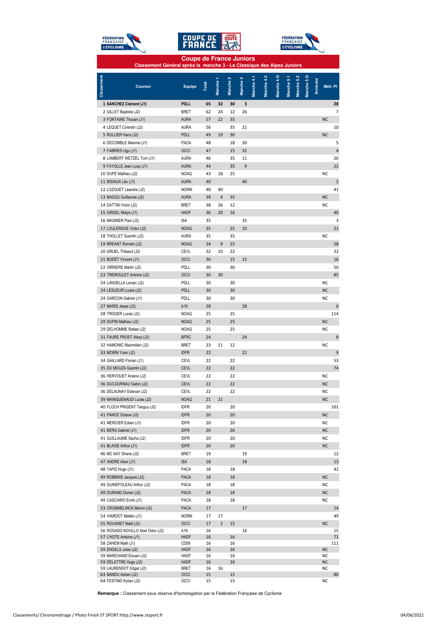





#### **Coupe de France Juniors Classement Général après la manche 3 - La Classique des Alpes Juniors**

| Classement | <b>Coureur</b>                                             | Equipe                     | Total    | Manche <sub>1</sub> | Manche <sub>2</sub> | Manche 3 | Manche 4.1 | Manche 4.2 | Manche 4.G | Manche 5.1 | Manche 5.2 | Manche 5.G | Annexes | Meil. Pl        |                |
|------------|------------------------------------------------------------|----------------------------|----------|---------------------|---------------------|----------|------------|------------|------------|------------|------------|------------|---------|-----------------|----------------|
|            | 1 SANCHEZ Clement (J1)                                     | <b>PDLL</b>                | 65       | 32                  | 30                  | 3        |            |            |            |            |            |            |         |                 | 28             |
|            | 2 GILLET Baptiste (J2)                                     | <b>BRET</b>                | 62       | 24                  | 12                  | 26       |            |            |            |            |            |            |         |                 | 7              |
|            | 3 FONTAINE Titouan (J1)                                    | <b>AURA</b>                | 57       | 22                  | 35                  |          |            |            |            |            |            |            |         | <b>NC</b>       |                |
|            | 4 LEQUET Corentin (J2)                                     | <b>AURA</b>                | 56       |                     | 35                  | 21       |            |            |            |            |            |            |         |                 | 10             |
|            | 5 RULLIER Hans (J2)                                        | PDLL                       | 49       | 19                  | 30                  |          |            |            |            |            |            |            |         | <b>NC</b>       |                |
|            | 6 DECOMBLE Maxime (J1)                                     | PACA                       | 48       |                     | 18                  | 30       |            |            |            |            |            |            |         |                 | 5              |
|            | 7 FABRIES Ugo (J1)                                         | OCCI                       | 47       |                     | 15                  | 32       |            |            |            |            |            |            |         |                 | $\overline{4}$ |
|            | 8 LAMBERT WETZEL Tom (J1)                                  | <b>AURA</b>                | 46       |                     | 35                  | 11       |            |            |            |            |            |            |         |                 | 20             |
|            | 9 FAYOLLE Jean Loup (J1)                                   | <b>AURA</b>                | 44       |                     | 35                  | 9        |            |            |            |            |            |            |         |                 | 22             |
|            | 10 DUPE Mathieu (J2)                                       | <b>NOAQ</b>                | 43       | 18                  | 25                  |          |            |            |            |            |            |            |         | <b>NC</b>       |                |
|            | 11 BISIAUX Léo (J1)                                        | <b>AURA</b>                | 40       |                     |                     | 40       |            |            |            |            |            |            |         |                 | $\overline{2}$ |
|            | 12 LOZOUET Léandre (J2)                                    | <b>NORM</b>                | 40       | 40                  |                     |          |            |            |            |            |            |            |         |                 | 41             |
|            | 13 BAGOU Guillaume (J2)                                    | <b>AURA</b>                | 39       | 4                   | 35                  |          |            |            |            |            |            |            |         | <b>NC</b>       |                |
|            | 14 DATTIN Victor (J2)                                      | <b>BRET</b>                | 38       | 26                  | 12                  |          |            |            |            |            |            |            |         | <b>NC</b>       |                |
|            | 15 GRISEL Matys (J1)                                       | <b>HADF</b>                | 36       | 20                  | 16                  |          |            |            |            |            |            |            |         |                 | 40             |
|            | 16 MAGNIER Paul (J2)                                       | <b>ISA</b>                 | 35       |                     |                     | 35       |            |            |            |            |            |            |         |                 | 3              |
|            | 17 LOULERGUE Victor (J2)                                   | <b>NOAQ</b>                | 35       |                     | 25                  | 10       |            |            |            |            |            |            |         |                 | 21             |
|            | 18 THOLLET Quentin (J2)                                    | <b>AURA</b>                | 35       |                     | 35                  |          |            |            |            |            |            |            |         | <b>NC</b>       |                |
|            | 19 BREANT Romain (J2)                                      | <b>NOAQ</b>                | 34       | 9                   | 25                  |          |            |            |            |            |            |            |         |                 | 58             |
|            | 20 GRUEL Thibaud (J2)                                      | <b>CEVL</b>                | 32       | 10                  | 22                  |          |            |            |            |            |            |            |         |                 | 32             |
|            | 21 BODET Vincent (J1)                                      | OCCI                       | 30       |                     | 15                  | 15       |            |            |            |            |            |            |         |                 | 16             |
|            | 22 ORRIERE Martin (J2)                                     | PDLL                       | 30       |                     | 30                  |          |            |            |            |            |            |            |         |                 | 50             |
|            | 23 TREMOULET Antoine (J2)                                  | OCCI                       | 30       | 30                  |                     |          |            |            |            |            |            |            |         |                 | 85             |
|            | 24 LANGELLA Lenaic (J2)                                    | PDLL                       | 30       |                     | 30                  |          |            |            |            |            |            |            |         | NC              |                |
|            | 24 LESUEUR Louka (J2)                                      | PDLL                       | 30       |                     | 30                  |          |            |            |            |            |            |            |         | <b>NC</b>       |                |
|            | 24 GARCON Gabriel (J1)                                     | PDLL                       | 30       |                     | 30                  |          |            |            |            |            |            |            |         | NC              |                |
|            | 27 MARIS Jesse (J2)                                        | A19                        | 28       |                     |                     | 28       |            |            |            |            |            |            |         |                 | 6              |
|            | 28 TROGER Lucas (J2)                                       | <b>NOAQ</b>                | 25       |                     | 25                  |          |            |            |            |            |            |            |         |                 | 114            |
|            | 29 DUPIN Mathieu (J2)                                      | <b>NOAQ</b>                | 25       |                     | 25                  |          |            |            |            |            |            |            |         | <b>NC</b>       |                |
|            | 29 DELHOMME Rafael (J2)                                    | <b>NOAQ</b>                | 25       |                     | 25                  |          |            |            |            |            |            |            |         | <b>NC</b>       |                |
|            | 31 FAURE PROST Alexy (J2)                                  | <b>BFRC</b>                | 24       |                     |                     | 24       |            |            |            |            |            |            |         |                 | 8              |
|            | 32 HAMONIC Maximilien (J2)                                 | <b>BRET</b>                | 23       | 11                  | 12                  |          |            |            |            |            |            |            |         | <b>NC</b>       |                |
|            | 33 MORIN Yoan (J2)                                         | <b>IDFR</b>                | 22       |                     |                     | 22       |            |            |            |            |            |            |         |                 | 9              |
|            | 34 GAILLARD Florian (J1)                                   | <b>CEVL</b>                | 22       |                     | 22                  |          |            |            |            |            |            |            |         |                 | 53             |
|            | 35 DU MOUZA Quentin (J2)                                   | <b>CEVL</b>                | 22       |                     | 22                  |          |            |            |            |            |            |            |         |                 | 74             |
|            | 36 HERVOUET Arsène (J2)                                    | <b>CEVL</b>                | 22       |                     | 22                  |          |            |            |            |            |            |            |         | <b>NC</b>       |                |
|            | 36 DUCOURNAU Gabin (J2)                                    | <b>CEVL</b>                | 22       |                     | 22                  |          |            |            |            |            |            |            |         | <b>NC</b>       |                |
|            | 36 DELAUNAY Estevan (J2)                                   | <b>CEVL</b>                | 22       |                     | 22                  |          |            |            |            |            |            |            |         | NC              |                |
|            | 39 MAINGUENAUD Lucas (J2)                                  | <b>NOAQ</b>                | 21       | 21                  |                     |          |            |            |            |            |            |            |         | <b>NC</b>       |                |
|            | 40 FLOCH PRIGENT Tanguy (J2)                               | <b>IDFR</b>                | 20       |                     | 20                  |          |            |            |            |            |            |            |         |                 | 101            |
|            | 41 PANCE Octave (J2)                                       | <b>IDFR</b>                | 20       |                     | 20                  |          |            |            |            |            |            |            |         | <b>NC</b>       |                |
|            | 41 MERCIER Edwin (J1)                                      | <b>IDFR</b>                | 20       |                     | 20                  |          |            |            |            |            |            |            |         | <b>NC</b>       |                |
|            | 41 BERG Gabriel (J1)                                       | <b>IDFR</b>                | 20       |                     | 20                  |          |            |            |            |            |            |            |         | <b>NC</b>       |                |
|            | 41 GUILLAUME Sacha (J2)                                    | <b>IDFR</b>                | 20       |                     | 20                  |          |            |            |            |            |            |            |         | NC              |                |
|            | 41 BLAISE Arthur (J1)                                      | <b>IDFR</b>                | 20       |                     | 20                  |          |            |            |            |            |            |            |         | <b>NC</b>       |                |
|            | 46 MC KAY Shane (J2)                                       | <b>BRET</b>                | 19       |                     |                     | 19       |            |            |            |            |            |            |         |                 | 12             |
|            | 47 ANDRE Alexi (J1)                                        | <b>ISA</b>                 | 18       |                     |                     | 18       |            |            |            |            |            |            |         |                 | 13             |
|            | 48 TAPIZ Hugo (J1)                                         | PACA                       | 18       |                     | 18                  |          |            |            |            |            |            |            |         |                 | 42             |
|            | 49 ROBBINS Jacques (J2)                                    | PACA                       | 18       |                     | 18                  |          |            |            |            |            |            |            |         | <b>NC</b>       |                |
|            | 49 GUINEFOLEAU Arthur (J2)                                 | PACA                       | 18       |                     | 18                  |          |            |            |            |            |            |            |         | ΝC              |                |
|            | 49 DURAND Dorian (J2)                                      | PACA                       | 18       |                     | 18                  |          |            |            |            |            |            |            |         | <b>NC</b>       |                |
|            | 49 CASCIARO Enrik (J1)                                     | PACA                       | 18       |                     | 18                  |          |            |            |            |            |            |            |         | NC              |                |
|            | 53 CROMMELINCK Melvin (J2)                                 | PACA                       | 17       |                     |                     | 17       |            |            |            |            |            |            |         |                 | 14             |
|            | 54 VIARDOT Mattéo (J1)                                     | <b>NORM</b>                | 17       | 17                  |                     |          |            |            |            |            |            |            |         |                 | 49             |
|            | 55 ROUANET Maël (J2)                                       | OCCI<br>A19                | 17<br>16 | $\mathbf 2$         | 15                  | 16       |            |            |            |            |            |            |         | <b>NC</b>       |                |
|            | 56 ROSADO NOVILLO Abel Odon (J2)<br>57 L'HOTE Antoine (J1) | <b>HADF</b>                | 16       |                     | 16                  |          |            |            |            |            |            |            |         |                 | 15<br>71       |
|            | 58 ZAHEM Maël (J1)                                         | CD <sub>59</sub>           | 16       |                     | 16                  |          |            |            |            |            |            |            |         |                 | 111            |
|            | 59 ENGELS Jules (J2)                                       | <b>HADF</b>                | 16       |                     | 16                  |          |            |            |            |            |            |            |         | <b>NC</b>       |                |
|            | 59 MARCHAND Elouan (J2)<br>59 DELATTRE Hugo (J2)           | <b>HADF</b><br><b>HADF</b> | 16<br>16 |                     | 16<br>16            |          |            |            |            |            |            |            |         | NC<br><b>NC</b> |                |
|            | 59 LAURENSOT Edgar (J2)                                    | <b>BRET</b>                | 16       | 16                  |                     |          |            |            |            |            |            |            |         | NC              |                |
|            | 63 BANDU Adrien (J2)                                       | OCCI                       | 15       |                     | 15                  |          |            |            |            |            |            |            |         |                 | 80             |
|            | 64 FESTINO Kylian (J2)                                     | OCCI                       | 15       |                     | 15                  |          |            |            |            |            |            |            |         | ΝC              |                |

**Remarque :** Classement sous réserve d'homologation par la Fédération Française de Cyclisme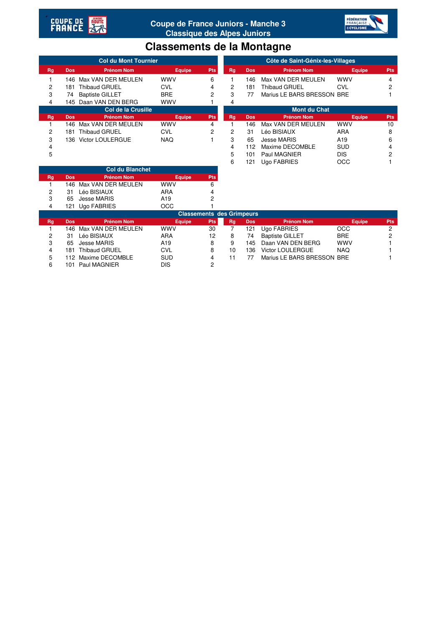



## **Classements de la Montagne**

|                    | <b>Col du Mont Tournier</b> |                         |               |            |                     | Côte de Saint-Génix-les-Villages |                            |                 |            |  |  |  |
|--------------------|-----------------------------|-------------------------|---------------|------------|---------------------|----------------------------------|----------------------------|-----------------|------------|--|--|--|
| Rg                 | <b>Dos</b>                  | <b>Prénom Nom</b>       | <b>Equipe</b> | <b>Pts</b> | Rg                  | <b>Dos</b>                       | <b>Prénom Nom</b>          | <b>Equipe</b>   | <b>Pts</b> |  |  |  |
|                    |                             | 146 Max VAN DER MEULEN  | <b>WWV</b>    | 6          |                     | 146                              | Max VAN DER MEULEN         | <b>WWV</b>      | 4          |  |  |  |
| 2                  | 181                         | <b>Thibaud GRUEL</b>    | <b>CVL</b>    | 4          | $\overline{2}$      | 181                              | Thibaud GRUEL              | <b>CVL</b>      | າ          |  |  |  |
| 3                  | 74                          | <b>Baptiste GILLET</b>  | <b>BRE</b>    | 2          | 3                   | 77                               | Marius LE BARS BRESSON BRE |                 |            |  |  |  |
| 4                  |                             | 145 Daan VAN DEN BERG   | <b>WWV</b>    |            | 4                   |                                  |                            |                 |            |  |  |  |
| Col de la Crusille |                             |                         |               |            | <b>Mont du Chat</b> |                                  |                            |                 |            |  |  |  |
| Rg                 | <b>Dos</b>                  | <b>Prénom Nom</b>       | <b>Equipe</b> | <b>Pts</b> | Rg                  | <b>Dos</b>                       | <b>Prénom Nom</b>          | <b>Equipe</b>   | <b>Pts</b> |  |  |  |
|                    | 146                         | Max VAN DER MEULEN      | <b>WWV</b>    | 4          |                     | 146                              | Max VAN DER MEULEN         | <b>WWV</b>      | 10         |  |  |  |
| 2                  | 181                         | <b>Thibaud GRUEL</b>    | <b>CVL</b>    | 2          | 2                   | 31                               | Léo BISIAUX                | <b>ARA</b>      | 8          |  |  |  |
| 3                  | 136.                        | <b>Victor LOULERGUE</b> | <b>NAQ</b>    |            | 3                   | 65                               | <b>Jesse MARIS</b>         | A <sub>19</sub> | 6          |  |  |  |
| 4                  |                             |                         |               |            | 4                   | 112                              | Maxime DECOMBLE            | <b>SUD</b>      | 4          |  |  |  |
| 5                  |                             |                         |               |            | 5                   | 101                              | Paul MAGNIER               | <b>DIS</b>      | 2          |  |  |  |
|                    |                             |                         |               |            | 6                   | 121                              | <b>Ugo FABRIES</b>         | OCC             |            |  |  |  |

|           |                      | <b>Col du Blanchet</b> |               |                                  |        |            |                        |  |
|-----------|----------------------|------------------------|---------------|----------------------------------|--------|------------|------------------------|--|
| Rg        | <b>Dos</b>           | <b>Prénom Nom</b>      | <b>Equipe</b> | <b>Pts</b>                       |        |            |                        |  |
|           | 146.                 | Max VAN DER MEULEN     | <b>WWV</b>    | 6                                |        |            |                        |  |
| 2         | 31                   | Léo BISIAUX            | <b>ARA</b>    | 4                                |        |            |                        |  |
| 3         | 65                   | Jesse MARIS            | A19           | 2                                |        |            |                        |  |
| 4         | 121.                 | Ugo FABRIES            | <b>OCC</b>    |                                  |        |            |                        |  |
|           |                      |                        |               | <b>Classements des Grimpeurs</b> |        |            |                        |  |
| <b>Rg</b> | <b>Dos</b>           | <b>Prénom Nom</b>      | <b>Equipe</b> | <b>Pts</b>                       | Rg     | <b>Dos</b> | <b>Prénom Nom</b>      |  |
|           | 146.                 | Max VAN DER MEULEN     | <b>WWV</b>    | 30                               |        | 121        | Ugo FABRIES            |  |
| 2         | 31                   | Léo BISIAUX            | <b>ARA</b>    | 12                               | 8      | 74         | <b>Baptiste GILLET</b> |  |
| 3         | 65                   | <b>Jesse MARIS</b>     | A19           | 8                                | 9      | 145        | Daan VAN DEN BERG      |  |
|           | $\sim$ $\sim$ $\sim$ | .                      | $\sim$        |                                  | $\sim$ |            |                        |  |

|                                  |            | 146  Max VAN DER MEULEN. | wwy           |            |    |            |                            |               |            |  |  |
|----------------------------------|------------|--------------------------|---------------|------------|----|------------|----------------------------|---------------|------------|--|--|
| 2                                | 31         | Léo BISIAUX              | ARA           |            |    |            |                            |               |            |  |  |
| 3                                | 65         | <b>Jesse MARIS</b>       | A19           |            |    |            |                            |               |            |  |  |
| 4                                | 121        | Ugo FABRIES              | OCC           |            |    |            |                            |               |            |  |  |
| <b>Classements des Grimpeurs</b> |            |                          |               |            |    |            |                            |               |            |  |  |
| Rg                               | <b>Dos</b> | <b>Prénom Nom</b>        | <b>Equipe</b> | <b>Pts</b> | Rg | <b>Dos</b> | <b>Prénom Nom</b>          | <b>Equipe</b> | <b>Pts</b> |  |  |
|                                  |            | 146 Max VAN DER MEULEN   | <b>WWV</b>    | 30         |    | 121        | Ugo FABRIES                | <b>OCC</b>    | 2          |  |  |
| $\overline{2}$                   | 31         | Léo BISIAUX              | <b>ARA</b>    | 12         | 8  | 74         | <b>Baptiste GILLET</b>     | <b>BRE</b>    | ົ          |  |  |
| 3                                | 65         | Jesse MARIS              | A19           | 8          | 9  | 145        | Daan VAN DEN BERG          | <b>WWV</b>    |            |  |  |
| 4                                | 181        | <b>Thibaud GRUEL</b>     | <b>CVL</b>    | 8          | 10 | 136        | <b>Victor LOULERGUE</b>    | <b>NAQ</b>    |            |  |  |
| 5                                | 112        | Maxime DECOMBLE          | <b>SUD</b>    | 4          | 11 | 77         | Marius LE BARS BRESSON BRE |               |            |  |  |
| 6                                | 101        | Paul MAGNIER             | DIS           | 2          |    |            |                            |               |            |  |  |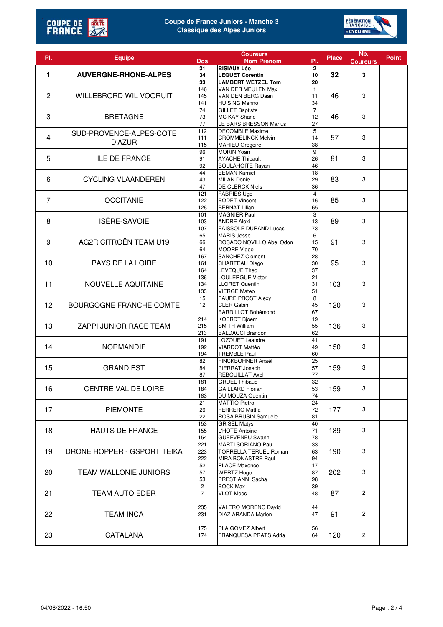



| PI.            | <b>Equipe</b>                  | <b>Dos</b>                       | <b>Coureurs</b><br><b>Nom Prénom</b>                | PI.                   | <b>Place</b> | N <sub>b</sub> .<br><b>Coureurs</b> | <b>Point</b> |
|----------------|--------------------------------|----------------------------------|-----------------------------------------------------|-----------------------|--------------|-------------------------------------|--------------|
|                |                                | 31                               | <b>BISIAUX Léo</b>                                  | 2                     |              |                                     |              |
| 1              | <b>AUVERGNE-RHONE-ALPES</b>    | 34<br>33                         | <b>LEQUET Corentin</b><br><b>LAMBERT WETZEL Tom</b> | 10<br>20              | 32           | 3                                   |              |
|                |                                | 146                              | VAN DER MEULEN Max                                  | $\mathbf{1}$          |              |                                     |              |
| $\mathbf{2}$   | <b>WILLEBRORD WIL VOORUIT</b>  | 145                              | VAN DEN BERG Daan                                   | 11                    | 46           | 3                                   |              |
|                |                                | 141<br>$\overline{74}$           | <b>HUISING Menno</b><br><b>GILLET Baptiste</b>      | 34<br>$\overline{7}$  |              |                                     |              |
| 3              | <b>BRETAGNE</b>                | 73                               | MC KAY Shane                                        | 12                    | 46           | 3                                   |              |
|                |                                | 77                               | LE BARS BRESSON Marius                              | 27                    |              |                                     |              |
| 4              | SUD-PROVENCE-ALPES-COTE        | 112<br>111                       | <b>DECOMBLE Maxime</b><br><b>CROMMELINCK Melvin</b> | 5<br>14               | 57           | 3                                   |              |
|                | D'AZUR                         | 115                              | MAHIEU Gregoire                                     | 38                    |              |                                     |              |
|                |                                | 96                               | <b>MORIN Yoan</b>                                   | 9<br>26               |              |                                     |              |
| 5              | <b>ILE DE FRANCE</b>           | 91<br>92                         | <b>AYACHE Thibault</b><br><b>BOULAHOITE Rayan</b>   | 81                    | 3            |                                     |              |
|                |                                | 44                               | <b>EEMAN Kamiel</b>                                 | 46<br>18              |              |                                     |              |
| 6              | <b>CYCLING VLAANDEREN</b>      | 43                               | <b>MILAN Donie</b>                                  | 29                    | 83           | 3                                   |              |
|                |                                | 47                               | <b>DE CLERCK Niels</b>                              | 36                    |              |                                     |              |
| $\overline{7}$ | <b>OCCITANIE</b>               | 121<br>122                       | <b>FABRIES Ugo</b><br><b>BODET Vincent</b>          | $\overline{4}$<br>16  | 85           | 3                                   |              |
|                |                                | 126                              | <b>BERNAT Lilian</b>                                | 65                    |              |                                     |              |
|                |                                | 101                              | <b>MAGNIER Paul</b>                                 | 3                     |              |                                     |              |
| 8              | ISÈRE-SAVOIE                   | 103                              | <b>ANDRE Alexi</b><br><b>FAISSOLE DURAND Lucas</b>  | 13                    | 89           | 3                                   |              |
|                |                                | 107<br>65                        | <b>MARIS Jesse</b>                                  | 73<br>6               |              |                                     |              |
| 9              | AG2R CITROËN TEAM U19          | 66                               | ROSADO NOVILLO Abel Odon                            | 15                    | 91           | 3                                   |              |
|                |                                | 64                               | MOORE Viggo                                         | 70                    |              |                                     |              |
| 10             | <b>PAYS DE LA LOIRE</b>        | 167<br>161                       | <b>SANCHEZ Clement</b><br>CHARTEAU Diego            | 28<br>30              | 95           | 3                                   |              |
|                |                                | 164                              | <b>LEVEQUE Theo</b>                                 | 37                    |              |                                     |              |
|                |                                | 136                              | <b>LOULERGUE Victor</b>                             | 21                    |              |                                     |              |
| 11             | NOUVELLE AQUITAINE             | 134                              | <b>LLORET Quentin</b>                               | 31                    | 103          | 3                                   |              |
|                |                                | 133<br>15                        | <b>VIERGE Mateo</b><br><b>FAURE PROST Alexy</b>     | 51<br>8               |              |                                     |              |
| 12             | <b>BOURGOGNE FRANCHE COMTE</b> | 12                               | <b>CLER Gabin</b>                                   | 45                    | 120          | 3                                   |              |
|                |                                | 11                               | <b>BARRILLOT Bohémond</b>                           | 67                    |              |                                     |              |
|                |                                | 214                              | <b>KOERDT Bjoern</b><br>SMITH William               | 19                    |              |                                     |              |
| 13             | ZAPPI JUNIOR RACE TEAM         | 215<br>213                       | <b>BALDACCI Brandon</b>                             | 55<br>62              | 136          | 3                                   |              |
|                |                                | 191                              | LOZOUET Léandre                                     | 41                    |              |                                     |              |
| 14             | <b>NORMANDIE</b>               | 192                              | VIARDOT Mattéo                                      | 49                    | 150          | 3                                   |              |
|                |                                | 194<br>82                        | <b>TREMBLE Paul</b><br>FINCKBOHNER Anaël            | 60<br>$\overline{25}$ |              |                                     |              |
| 15             | <b>GRAND EST</b>               | 84                               | PIERRAT Joseph                                      | 57                    | 159          | 3                                   |              |
|                |                                | 87                               | <b>REBOUILLAT Axel</b>                              | 77                    |              |                                     |              |
|                |                                | 181                              | <b>GRUEL Thibaud</b>                                | 32                    |              |                                     |              |
| 16             | <b>CENTRE VAL DE LOIRE</b>     | 184<br>183                       | <b>GAILLARD Florian</b><br>DU MOUZA Quentin         | 53<br>74              | 159          | 3                                   |              |
|                |                                | 21                               | <b>MATTIO Pietro</b>                                | 24                    |              |                                     |              |
| 17             | <b>PIEMONTE</b>                | 26                               | <b>FERRERO Mattia</b>                               | 72                    | 177          | 3                                   |              |
|                |                                | 22                               | ROSA BRUSIN Samuele<br><b>GRISEL Matys</b>          | 81                    |              |                                     |              |
| 18             | <b>HAUTS DE FRANCE</b>         | 153<br>155                       | L'HOTE Antoine                                      | 40<br>71              | 189          | 3                                   |              |
|                |                                | 154                              | <b>GUEFVENEU Swann</b>                              | 78                    |              |                                     |              |
|                |                                | 221                              | MARTI SORIANO Pau                                   | 33                    |              |                                     |              |
| 19             | DRONE HOPPER - GSPORT TEIKA    | 223<br>222                       | <b>TORRELLA TERUEL Roman</b>                        | 63<br>94              | 190          | 3                                   |              |
|                |                                | 52                               | MIRA BONASTRE Raul<br><b>PLACE Maxence</b>          | 17                    |              |                                     |              |
| 20             | <b>TEAM WALLONIE JUNIORS</b>   | 57                               | <b>WERTZ Hugo</b>                                   | 87                    | 202          | 3                                   |              |
|                |                                | 53                               | PRESTIANNI Sacha                                    | 98                    |              |                                     |              |
| 21             | <b>TEAM AUTO EDER</b>          | $\overline{c}$<br>$\overline{7}$ | <b>BOCK Max</b><br><b>VLOT Mees</b>                 | 39<br>48              | 87           | $\mathbf{2}^{\prime}$               |              |
|                |                                |                                  |                                                     |                       |              |                                     |              |
|                |                                | 235                              | VALERO MORENO David                                 | 44                    |              |                                     |              |
| 22             | <b>TEAM INCA</b>               | 231                              | DIAZ ARANDA Marlon                                  | 47                    | 91           | 2                                   |              |
|                |                                | 175                              | PLA GOMEZ Albert                                    | 56                    |              |                                     |              |
| 23             | CATALANA                       | 174                              | FRANQUESA PRATS Adria                               | 64                    | 120          | $\overline{2}$                      |              |
|                |                                |                                  |                                                     |                       |              |                                     |              |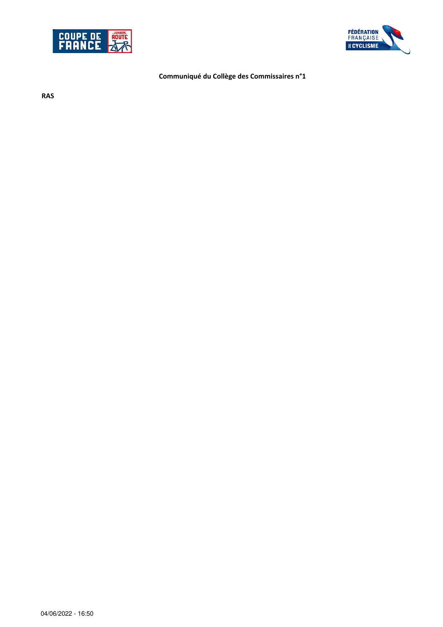



## **Communiqué du Collège des Commissaires n°1**

**RAS**